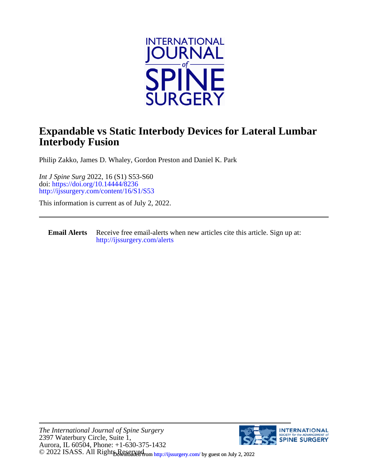

## **Interbody Fusion Expandable vs Static Interbody Devices for Lateral Lumbar**

Philip Zakko, James D. Whaley, Gordon Preston and Daniel K. Park

<http://ijssurgery.com/content/16/S1/S53> doi:<https://doi.org/10.14444/8236> *Int J Spine Surg* 2022, 16 (S1) S53-S60

This information is current as of July 2, 2022.

**Email Alerts** [http://ijssurgery.com/alerts](http://jpm.iijournals.com/alerts) Receive free email-alerts when new articles cite this article. Sign up at:

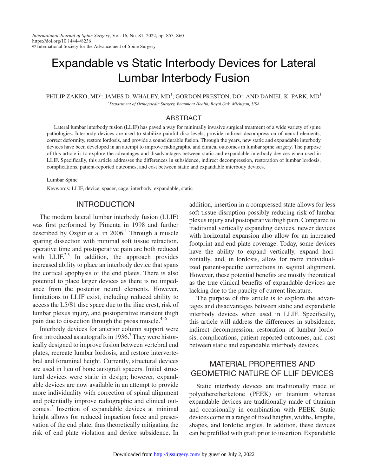# Expandable vs Static Interbody Devices for Lateral Lumbar Interbody Fusion

PHILIP ZAKKO, MD $^1$ ; JAMES D. WHALEY, MD $^1$ ; GORDON PRESTON, DO $^1$ ; AND DANIEL K. PARK, MD $^1$ *1 Department of Orthopaedic Surgery, Beaumont Health, Royal Oak, Michigan, USA*

#### ABSTRACT

Lateral lumbar interbody fusion (LLIF) has paved a way for minimally invasive surgical treatment of a wide variety of spine pathologies. Interbody devices are used to stabilize painful disc levels, provide indirect decompression of neural elements, correct deformity, restore lordosis, and provide a sound durable fusion. Through the years, new static and expandable interbody devices have been developed in an attempt to improve radiographic and clinical outcomes in lumbar spine surgery. The purpose of this article is to explore the advantages and disadvantages between static and expandable interbody devices when used in LLIF. Specifically, this article addresses the differences in subsidence, indirect decompression, restoration of lumbar lordosis, complications, patient-reported outcomes, and cost between static and expandable interbody devices.

Lumbar Spine

Keywords: LLIF, device, spacer, cage, interbody, expandable, static

#### INTRODUCTION

The modern lateral lumbar interbody fusion (LLIF) was first performed by Pimenta in 1998 and further described by Ozgur et al in  $2006$ .<sup>[1](#page-6-0)</sup> Through a muscle sparing dissection with minimal soft tissue retraction, operative time and postoperative pain are both reduced with LLIF.<sup>[2,3](#page-6-1)</sup> In addition, the approach provides increased ability to place an interbody device that spans the cortical apophysis of the end plates. There is also potential to place larger devices as there is no impedance from the posterior neural elements. However, limitations to LLIF exist, including reduced ability to access the L5/S1 disc space due to the iliac crest, risk of lumbar plexus injury, and postoperative transient thigh pain due to dissection through the psoas muscle. $4-6$ 

Interbody devices for anterior column support were first introduced as autografts in  $1936$ .<sup>[7](#page-7-1)</sup> They were historically designed to improve fusion between vertebral end plates, recreate lumbar lordosis, and restore intervertebral and foraminal height. Currently, structural devices are used in lieu of bone autograft spacers. Initial structural devices were static in design; however, expandable devices are now available in an attempt to provide more individuality with correction of spinal alignment and potentially improve radiographic and clinical outcomes.[7](#page-7-1) Insertion of expandable devices at minimal height allows for reduced impaction force and preservation of the end plate, thus theoretically mitigating the risk of end plate violation and device subsidence. In

addition, insertion in a compressed state allows for less soft tissue disruption possibly reducing risk of lumbar plexus injury and postoperative thigh pain. Compared to traditional vertically expanding devices, newer devices with horizontal expansion also allow for an increased footprint and end plate coverage. Today, some devices have the ability to expand vertically, expand horizontally, and, in lordosis, allow for more individualized patient-specific corrections in sagittal alignment. However, these potential benefits are mostly theoretical as the true clinical benefits of expandable devices are lacking due to the paucity of current literature.

The purpose of this article is to explore the advantages and disadvantages between static and expandable interbody devices when used in LLIF. Specifically, this article will address the differences in subsidence, indirect decompression, restoration of lumbar lordosis, complications, patient-reported outcomes, and cost between static and expandable interbody devices.

## MATERIAL PROPERTIES AND GEOMETRIC NATURE OF LLIF DEVICES

Static interbody devices are traditionally made of polyetheretherketone (PEEK) or titanium whereas expandable devices are traditionally made of titanium and occasionally in combination with PEEK. Static devices come in a range of fixed heights, widths, lengths, shapes, and lordotic angles. In addition, these devices can be prefilled with graft prior to insertion. Expandable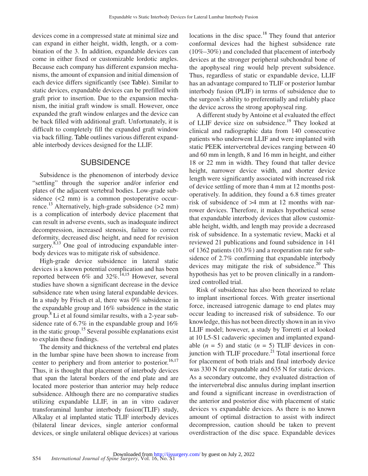devices come in a compressed state at minimal size and can expand in either height, width, length, or a combination of the 3. In addition, expandable devices can come in either fixed or customizable lordotic angles. Because each company has different expansion mechanisms, the amount of expansion and initial dimension of each device differs significantly (see [Table](#page-3-0)). Similar to static devices, expandable devices can be prefilled with graft prior to insertion. Due to the expansion mechanism, the initial graft window is small. However, once expanded the graft window enlarges and the device can be back filled with additional graft. Unfortunately, it is difficult to completely fill the expanded graft window via back filling. [Table](#page-3-0) outlines various different expandable interbody devices designed for the LLIF.

#### **SUBSIDENCE**

Subsidence is the phenomenon of interbody device "settling" through the superior and/or inferior end plates of the adjacent vertebral bodies. Low-grade subsidence (<2 mm) is a common postoperative occurrence.<sup>13</sup> Alternatively, high-grade subsidence  $(>2$  mm) is a complication of interbody device placement that can result in adverse events, such as inadequate indirect decompression, increased stenosis, failure to correct deformity, decreased disc height, and need for revision surgery. $8,13$  One goal of introducing expandable interbody devices was to mitigate risk of subsidence.

High-grade device subsidence in lateral static devices is a known potential complication and has been reported between  $6\%$  and  $32\%$ .<sup>[14,15](#page-7-4)</sup> However, several studies have shown a significant decrease in the device subsidence rate when using lateral expandable devices. In a study by Frisch et al, there was 0% subsidence in the expandable group and 16% subsidence in the static group. $\frac{8}{3}$  $\frac{8}{3}$  $\frac{8}{3}$  Li et al found similar results, with a 2-year subsidence rate of 6.7% in the expandable group and 16% in the static group.[15](#page-7-5) Several possible explanations exist to explain these findings.

The density and thickness of the vertebral end plates in the lumbar spine have been shown to increase from center to periphery and from anterior to posterior.<sup>[16,17](#page-7-6)</sup> Thus, it is thought that placement of interbody devices that span the lateral borders of the end plate and are located more posterior than anterior may help reduce subsidence. Although there are no comparative studies utilizing expandable LLIF, in an in vitro cadaver transforaminal lumbar interbody fusion(TLIF) study, Alkalay et al implanted static TLIF interbody devices (bilateral linear devices, single anterior conformal devices, or single unilateral oblique devices) at various locations in the disc space.<sup>[18](#page-7-7)</sup> They found that anterior conformal devices had the highest subsidence rate (10%–30%) and concluded that placement of interbody devices at the stronger peripheral subchondral bone of the apophyseal ring would help prevent subsidence. Thus, regardless of static or expandable device, LLIF has an advantage compared to TLIF or posterior lumbar interbody fusion (PLIF) in terms of subsidence due to the surgeon's ability to preferentially and reliably place the device across the strong apophyseal ring.

A different study by Antoine et al evaluated the effect of LLIF device size on subsidence.<sup>19</sup> They looked at clinical and radiographic data from 140 consecutive patients who underwent LLIF and were implanted with static PEEK intervertebral devices ranging between 40 and 60 mm in length, 8 and 16 mm in height, and either 18 or 22 mm in width. They found that taller device height, narrower device width, and shorter device length were significantly associated with increased risk of device settling of more than 4 mm at 12 months postoperatively. In addition, they found a 6.8 times greater risk of subsidence of >4 mm at 12 months with narrower devices. Therefore, it makes hypothetical sense that expandable interbody devices that allow customizable height, width, and length may provide a decreased risk of subsidence. In a systematic review, Macki et al reviewed 21 publications and found subsidence in 141 of 1362 patients (10.3%) and a reoperation rate for subsidence of 2.7% confirming that expandable interbody devices may mitigate the risk of subsidence. $20$  This hypothesis has yet to be proven clinically in a randomized controlled trial.

Risk of subsidence has also been theorized to relate to implant insertional forces. With greater insertional force, increased iatrogenic damage to end plates may occur leading to increased risk of subsidence. To our knowledge, this has not been directly shown in an in vivo LLIF model; however, a study by Torretti et al looked at 10 L5-S1 cadaveric specimen and implanted expandable  $(n = 5)$  and static  $(n = 5)$  TLIF devices in conjunction with TLIF procedure. $^{21}$  $^{21}$  $^{21}$  Total insertional force for placement of both trials and final interbody device was 330 N for expandable and 635 N for static devices. As a secondary outcome, they evaluated distraction of the intervertebral disc annulus during implant insertion and found a significant increase in overdistraction of the anterior and posterior disc with placement of static devices vs expandable devices. As there is no known amount of optimal distraction to assist with indirect decompression, caution should be taken to prevent overdistraction of the disc space. Expandable devices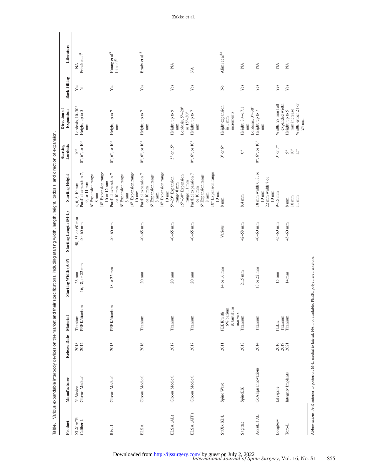| Table.                      |                            |              |                                                    | Various expandable interbody devices on the market and their specifications, including starting width, length, height, lordosis, and direction of expansion. |                                |                                                                                                                                                            |                                                   |                                                                            |                                |                                     |
|-----------------------------|----------------------------|--------------|----------------------------------------------------|--------------------------------------------------------------------------------------------------------------------------------------------------------------|--------------------------------|------------------------------------------------------------------------------------------------------------------------------------------------------------|---------------------------------------------------|----------------------------------------------------------------------------|--------------------------------|-------------------------------------|
| Product                     | Manufacturer               | Release Date | Material                                           | Starting Width (A-P)                                                                                                                                         | Starting Length (M-L)          | <b>Starting Height</b>                                                                                                                                     | Starting<br>Lordosis                              | Direction of<br>Expansion                                                  | <b>Back Filling</b>            | Literature                          |
| <b>XLX ACR</b><br>Caliber-L | NuVasive<br>Globus Medical | 2018<br>2012 | Titanium<br>PEEK/titanium                          | $23 \text{ mm}$<br>16, 18, or $22 \text{ mm}$                                                                                                                | 50, 55, or 60 mm<br>$40-60$ mm | Parallel expansion 7,<br>10° Expansion range<br>6° Expansion range<br>10 or 12 mm<br>$9,$ or $11~\mathrm{mm}$<br>4, 6, 8, 10 mm<br>$8 \text{ }\mathrm{mm}$ | $0^{\circ}$ , 6°, or $10^{\circ}$<br>$10^{\circ}$ | Lordosis, 10–30°<br>Height, up to 5<br>mm                                  | yes<br>No                      | Frisch et al <sup>8</sup><br>Ź      |
| Rise-L                      | Globus Medical             | 2015         | PEEK/titanium                                      | 18 or 22 mm                                                                                                                                                  | $40 - 60$ mm                   | 10° Expansion range<br>Parallel expansion 7<br>6° Expansion range<br>or 10 mm<br>$10 \text{ mm}$<br>$8 \text{ }\mathrm{mm}$                                | $0^{\circ}$ , $6^{\circ}$ , or $10^{\circ}$       | Height, up to 7<br>mm                                                      | Yes                            | Huang et al $^{9}$ Li et al $^{10}$ |
| <b>ELSA</b>                 | Globus Medical             | 2016         | Titanium                                           | $20 \text{ mm}$                                                                                                                                              | $40 - 65$ mm                   | 10° Expansion range<br>Parallel expansion 7<br>6° Expansion range<br>or $10 \text{ mm}$<br>$10 \text{ mm}$<br>$8 \text{ mm}$                               | $0^\circ,\,6^\circ,\,{\rm or}\,\,10^\circ$        | Height, up to 7<br>mm                                                      | Yes                            | Brady et al $^{11}$                 |
| ELSA(AL)                    | Globus Medical             | 2017         | Titanium                                           | $20 \text{ mm}$                                                                                                                                              | $40 - 65$ mm                   | 15°-30° Expansion<br>5°-20° Expansion<br>range 11 mm<br>range 8 mm                                                                                         | $5^{\circ}$ or $15^{\circ}$                       | Lordosis, $5^{\circ} - 20^{\circ}$<br>Height, up to 9<br>or 15°-30°<br>mm  | Yes                            | $\lessapprox$                       |
| ELSA (ATP)                  | Globus Medical             | 2017         | Titanium                                           | $20\,\mathrm{mm}$                                                                                                                                            | $40 - 65$ mm                   | 10° Expansion range<br>Parallel expansion 7<br>6° Expansion range<br>or 10 mm<br>$10 \text{ mm}$<br>$8 \text{ mm}$                                         | $0^{\circ}$ , $6^{\circ}$ , or $10^{\circ}$       | Height, up to 7<br>mm                                                      | Yes                            | ≸                                   |
| StaXx XDL                   | Spine Wave                 | 2011         | & tantalum<br>$6\%$ barium<br>PEEK with<br>markers | 14 or 16 mm                                                                                                                                                  | Various                        | $8 \text{ mm}$                                                                                                                                             | $0^\circ$ or $6^\circ$                            | Height expansion<br>increments<br>in 1 mm                                  | $\stackrel{\circ}{\mathbf{Z}}$ | Alimi et al $^{12}$                 |
| Sagittae                    | SpineEX                    | 2018         | Titanium                                           | $21.5 \text{ mm}$                                                                                                                                            | $42 - 58$ mm                   | 8.4 mm                                                                                                                                                     | $\rm ^{\circ}$                                    | Lordosis, 0°-30°<br>Height, 8.4-17.1<br>mm                                 | Yes                            | $\lessapprox$                       |
| AccuLif XL                  | CoAlign Innovations        | 2014         | Titanium                                           | 18 or 22 mm                                                                                                                                                  | $40 - 60$ mm                   | 18 mm width 6, 8, or<br>22 mm width 7 or<br>$10 \text{ mm}$<br>$10 \text{ mm}$                                                                             | $0^{\circ}$ , $6^{\circ}$ , or $10^{\circ}$       | Height, up to $7\,$<br>mm                                                  | Yes                            | $\lessapprox$                       |
| Longbow                     | Lifespine                  | 2016         | Titanium<br>PEEK                                   | $15 \text{ mm}$                                                                                                                                              | $45 - 60$ mm                   | $9-15$ mm                                                                                                                                                  | $0^\circ$ or $7^\circ$                            | expanded width<br>Width, 27 mm full                                        | Yes                            | $\stackrel{\triangle}{\geq}$        |
| $\mbox{Toro-L}$             | Integrity Implants         | 2019<br>2021 | Titanium                                           | $14 \text{ mm}$                                                                                                                                              | $45-60$ mm                     | $10\;{\rm mm}$<br>$11\ \mathrm{mm}$<br>$8 \text{ mm}$                                                                                                      | $10^{\circ}$<br>$15^{\circ}$<br>$\rm S^o$         | Width, either 21 or<br>mm increase<br>Height, up to 5<br>$24\,\mathrm{mm}$ | Yes                            | $\lessapprox$                       |

<span id="page-3-0"></span>

Abbreviations: A-P, anterior to posterior; M-L, medial to lateral; NA, not available; PEEK, polyetheretherketone.

Abbreviations: A-P, anterior to posterior; M-L, medial to lateral; NA, not available; PEEK, polyetheretherketone.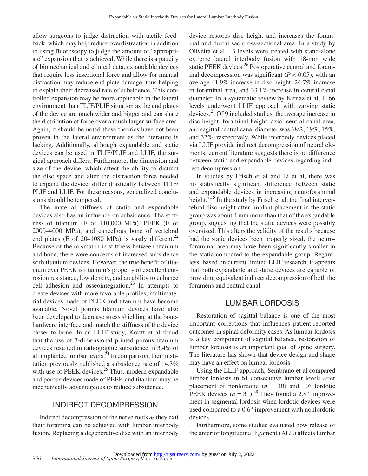allow surgeons to judge distraction with tactile feedback, which may help reduce overdistraction in addition to using fluoroscopy to judge the amount of "appropriate" expansion that is achieved. While there is a paucity of biomechanical and clinical data, expandable devices that require less insertional force and allow for manual distraction may reduce end plate damage, thus helping to explain their decreased rate of subsidence. This controlled expansion may be more applicable in the lateral environment than TLIF/PLIF situation as the end plates of the device are much wider and bigger and can share the distribution of force over a much larger surface area. Again, it should be noted these theories have not been proven in the lateral environment as the literature is lacking. Additionally, although expandable and static devices can be used in TLIF/PLIF and LLIF, the surgical approach differs. Furthermore, the dimension and size of the device, which affect the ability to distract the disc space and alter the distraction force needed to expand the device, differ drastically between TLIF/ PLIF and LLIF. For these reasons, generalized conclusions should be tempered.

The material stiffness of static and expandable devices also has an influence on subsidence. The stiffness of titanium (E of 110,000 MPa), PEEK (E of 2000–4000 MPa), and cancellous bone of vertebral end plates (E of 20–1080 MPa) is vastly different.<sup>[22](#page-7-15)</sup> Because of the mismatch in stiffness between titanium and bone, there were concerns of increased subsidence with titanium devices. However, the true benefit of titanium over PEEK is titanium's property of excellent corrosion resistance, low density, and an ability to enhance cell adhesion and osseointegration.<sup>[23](#page-7-16)</sup> In attempts to create devices with more favorable profiles, multimaterial devices made of PEEK and titanium have become available. Novel porous titanium devices have also been developed to decrease stress shielding at the bonehardware interface and match the stiffness of the device closer to bone. In an LLIF study, Krafft et al found that the use of 3-dimensional printed porous titanium devices resulted in radiographic subsidence in 3.4% of all implanted lumbar levels. $^{24}$  $^{24}$  $^{24}$  In comparison, their institution previously published a subsidence rate of 14.3% with use of PEEK devices. $25$  Thus, modern expandable and porous devices made of PEEK and titanium may be mechanically advantageous to reduce subsidence.

### INDIRECT DECOMPRESSION

Indirect decompression of the nerve roots as they exit their foramina can be achieved with lumbar interbody fusion. Replacing a degenerative disc with an interbody

device restores disc height and increases the foraminal and thecal sac cross-sectional area. In a study by Oliveira et al, 43 levels were treated with stand-alone extreme lateral interbody fusion with 18-mm wide static PEEK devices.<sup>[26](#page-7-19)</sup> Postoperative central and foraminal decompression was significant  $(P < 0.05)$ , with an average 41.9% increase in disc height, 24.7% increase in foraminal area, and 33.1% increase in central canal diameter. In a systematic review by Kirnaz et al, 1166 levels underwent LLIF approach with varying static devices[.27](#page-7-20) Of 9 included studies, the average increase in disc height, foraminal height, axial central canal area, and sagittal central canal diameter was 68%, 19%, 15%, and 32%, respectively. While interbody devices placed via LLIF provide indirect decompression of neural elements, current literature suggests there is no difference between static and expandable devices regarding indirect decompression.

In studies by Frisch et al and Li et al, there was no statistically significant difference between static and expandable devices in increasing neuroforaminal height. $8,15$  In the study by Frisch et al, the final intervertebral disc height after implant placement in the static group was about 4 mm more than that of the expandable group, suggesting that the static devices were possibly oversized. This alters the validity of the results because had the static devices been properly sized, the neuroforaminal area may have been significantly smaller in the static compared to the expandable group. Regardless, based on current limited LLIF research, it appears that both expandable and static devices are capable of providing equivalent indirect decompression of both the foramens and central canal.

#### LUMBAR LORDOSIS

Restoration of sagittal balance is one of the most important corrections that influences patient-reported outcomes in spinal deformity cases. As lumbar lordosis is a key component of sagittal balance, restoration of lumbar lordosis is an important goal of spine surgery. The literature has shown that device design and shape may have an effect on lumbar lordosis.

Using the LLIF approach, Sembrano et al compared lumbar lordosis in 61 consecutive lumbar levels after placement of nonlordotic  $(n = 30)$  and  $10^{\circ}$  lordotic PEEK devices  $(n = 31)$ .<sup>[28](#page-7-21)</sup> They found a 2.8° improvement in segmental lordosis when lordotic devices were used compared to a 0.6° improvement with nonlordotic devices.

Furthermore, some studies evaluated how release of the anterior longitudinal ligament (ALL) affects lumbar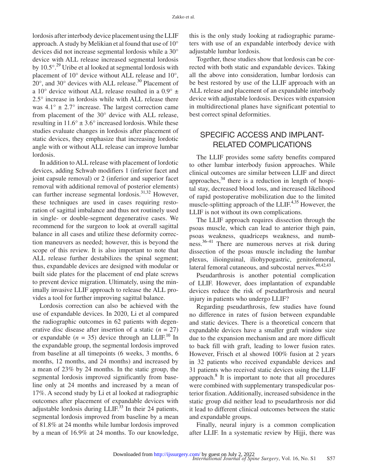lordosis after interbody device placement using the LLIF approach. A study by Melikian et al found that use of 10° devices did not increase segmental lordosis while a 30° device with ALL release increased segmental lordosis by  $10.5^{\circ}$ .<sup>[29](#page-7-22)</sup> Uribe et al looked at segmental lordosis with placement of 10° device without ALL release and 10°,  $20^\circ$ , and  $30^\circ$  devices with ALL release.<sup>30</sup> Placement of a 10 $\degree$  device without ALL release resulted in a 0.9 $\degree$  ± 2.5° increase in lordosis while with ALL release there was  $4.1^{\circ} \pm 2.7^{\circ}$  increase. The largest correction came from placement of the 30° device with ALL release, resulting in  $11.6^{\circ} \pm 3.6^{\circ}$  increased lordosis. While these studies evaluate changes in lordosis after placement of static devices, they emphasize that increasing lordotic angle with or without ALL release can improve lumbar lordosis.

In addition to ALL release with placement of lordotic devices, adding Schwab modifiers 1 (inferior facet and joint capsule removal) or 2 (inferior and superior facet removal with additional removal of posterior elements) can further increase segmental lordosis. $31,32$  However, these techniques are used in cases requiring restoration of sagittal imbalance and thus not routinely used in single- or double-segment degenerative cases. We recommend for the surgeon to look at overall sagittal balance in all cases and utilize these deformity correction maneuvers as needed; however, this is beyond the scope of this review. It is also important to note that ALL release further destabilizes the spinal segment; thus, expandable devices are designed with modular or built side plates for the placement of end plate screws to prevent device migration. Ultimately, using the minimally invasive LLIF approach to release the ALL provides a tool for further improving sagittal balance.

Lordosis correction can also be achieved with the use of expandable devices. In 2020, Li et al compared the radiographic outcomes in 62 patients with degenerative disc disease after insertion of a static  $(n = 27)$ or expandable  $(n = 35)$  device through an LLIF.<sup>10</sup> In the expandable group, the segmental lordosis improved from baseline at all timepoints (6 weeks, 3 months, 6 months, 12 months, and 24 months) and increased by a mean of 23% by 24 months. In the static group, the segmental lordosis improved significantly from baseline only at 24 months and increased by a mean of 17%. A second study by Li et al looked at radiographic outcomes after placement of expandable devices with adjustable lordosis during  $LLIF^{33}$  In their 24 patients, segmental lordosis improved from baseline by a mean of 81.8% at 24 months while lumbar lordosis improved by a mean of 16.9% at 24 months. To our knowledge,

this is the only study looking at radiographic parameters with use of an expandable interbody device with adjustable lumbar lordosis.

Together, these studies show that lordosis can be corrected with both static and expandable devices. Taking all the above into consideration, lumbar lordosis can be best restored by use of the LLIF approach with an ALL release and placement of an expandable interbody device with adjustable lordosis. Devices with expansion in multidirectional planes have significant potential to best correct spinal deformities.

## SPECIFIC ACCESS AND IMPLANT-RELATED COMPLICATIONS

The LLIF provides some safety benefits compared to other lumbar interbody fusion approaches. While clinical outcomes are similar between LLIF and direct approaches, $34$  there is a reduction in length of hospital stay, decreased blood loss, and increased likelihood of rapid postoperative mobilization due to the limited muscle-splitting approach of the LLIF.<sup>[4,35](#page-7-0)</sup> However, the LLIF is not without its own complications.

The LLIF approach requires dissection through the psoas muscle, which can lead to anterior thigh pain, psoas weakness, quadriceps weakness, and numbness.[36–41](#page-8-2) There are numerous nerves at risk during dissection of the psoas muscle including the lumbar plexus, ilioinguinal, iliohypogastric, genitofemoral, lateral femoral cutaneous, and subcostal nerves.<sup>40,42,43</sup>

Pseudarthrosis is another potential complication of LLIF. However, does implantation of expandable devices reduce the risk of pseudarthrosis and neural injury in patients who undergo LLIF?

Regarding pseudarthrosis, few studies have found no difference in rates of fusion between expandable and static devices. There is a theoretical concern that expandable devices have a smaller graft window size due to the expansion mechanism and are more difficult to back fill with graft, leading to lower fusion rates. However, Frisch et al showed 100% fusion at 2 years in 32 patients who received expandable devices and 31 patients who received static devices using the LLIF approach.<sup>[8](#page-7-3)</sup> It is important to note that all procedures were combined with supplementary transpedicular posterior fixation. Additionally, increased subsidence in the static group did neither lead to pseudarthrosis nor did it lead to different clinical outcomes between the static and expandable groups.

Finally, neural injury is a common complication after LLIF. In a systematic review by Hijji, there was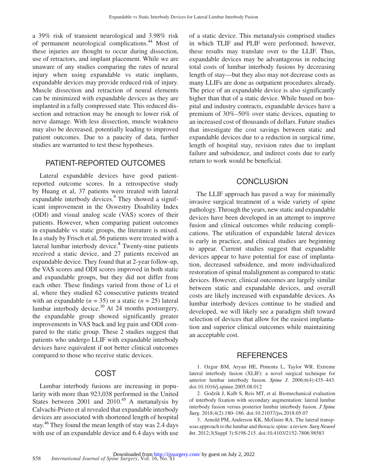a 39% risk of transient neurological and 3.98% risk of permanent neurological complications[.44](#page-8-4) Most of these injuries are thought to occur during dissection, use of retractors, and implant placement. While we are unaware of any studies comparing the rates of neural injury when using expandable vs static implants, expandable devices may provide reduced risk of injury. Muscle dissection and retraction of neural elements can be minimized with expandable devices as they are implanted in a fully compressed state. This reduced dissection and retraction may be enough to lower risk of nerve damage. With less dissection, muscle weakness may also be decreased, potentially leading to improved patient outcomes. Due to a paucity of data, further studies are warranted to test these hypotheses.

#### PATIENT-REPORTED OUTCOMES

Lateral expandable devices have good patientreported outcome scores. In a retrospective study by Huang et al, 37 patients were treated with lateral expandable interbody devices.<sup>9</sup> They showed a significant improvement in the Oswestry Disability Index (ODI) and visual analog scale (VAS) scores of their patients. However, when comparing patient outcomes in expandable vs static groups, the literature is mixed. In a study by Frisch et al, 56 patients were treated with a lateral lumbar interbody device.<sup>[8](#page-7-3)</sup> Twenty-nine patients received a static device, and 27 patients received an expandable device. They found that at 2-year follow-up, the VAS scores and ODI scores improved in both static and expandable groups, but they did not differ from each other. These findings varied from those of Li et al, where they studied 62 consecutive patients treated with an expandable  $(n = 35)$  or a static  $(n = 25)$  lateral lumbar interbody device.[10](#page-7-12) At 24 months postsurgery, the expandable group showed significantly greater improvements in VAS back and leg pain and ODI compared to the static group. These 2 studies suggest that patients who undergo LLIF with expandable interbody devices have equivalent if not better clinical outcomes compared to those who receive static devices.

#### COST

Lumbar interbody fusions are increasing in popularity with more than 923,038 performed in the United States between 2001 and  $2010^{45}$  A metanalysis by Calvachi-Prieto et al revealed that expandable interbody devices are associated with shortened length of hospital stay.<sup>[46](#page-8-6)</sup> They found the mean length of stay was 2.4 days with use of an expandable device and 6.4 days with use of a static device. This metanalysis comprised studies in which TLIF and PLIF were performed; however, these results may translate over to the LLIF. Thus, expandable devices may be advantageous in reducing total costs of lumbar interbody fusions by decreasing length of stay—but they also may not decrease costs as many LLIFs are done as outpatient procedures already. The price of an expandable device is also significantly higher than that of a static device. While based on hospital and industry contracts, expandable devices have a premium of 30%–50% over static devices, equating to an increased cost of thousands of dollars. Future studies that investigate the cost savings between static and expandable devices due to a reduction in surgical time, length of hospital stay, revision rates due to implant failure and subsidence, and indirect costs due to early return to work would be beneficial.

#### **CONCLUSION**

The LLIF approach has paved a way for minimally invasive surgical treatment of a wide variety of spine pathology. Through the years, new static and expandable devices have been developed in an attempt to improve fusion and clinical outcomes while reducing complications. The utilization of expandable lateral devices is early in practice, and clinical studies are beginning to appear. Current studies suggest that expandable devices appear to have potential for ease of implantation, decreased subsidence, and more individualized restoration of spinal malalignment as compared to static devices. However, clinical outcomes are largely similar between static and expandable devices, and overall costs are likely increased with expandable devices. As lumbar interbody devices continue to be studied and developed, we will likely see a paradigm shift toward selection of devices that allow for the easiest implantation and superior clinical outcomes while maintaining an acceptable cost.

#### REFERENCES

<span id="page-6-0"></span>1. Ozgur BM, Aryan HE, Pimenta L, Taylor WR. Extreme lateral interbody fusion (XLIF): a novel surgical technique for anterior lumbar interbody fusion. *Spine J*. 2006;6(4):435–443. doi:10.1016/j.spinee.2005.08.012

<span id="page-6-1"></span>2. Godzik J, Kalb S, Reis MT, et al. Biomechanical evaluation of interbody fixation with secondary augmentation: lateral lumbar interbody fusion versus posterior lumbar interbody fusion. *J Spine Surg*. 2018;4(2):180–186. doi:10.21037/jss.2018.05.07

3. Arnold PM, Anderson KK, McGuire RA. The lateral transpsoas approach to the lumbar and thoracic spine: a review. *Surg Neurol Int*. 2012;3(Suppl 3):S198-215. doi:10.4103/2152-7806.98583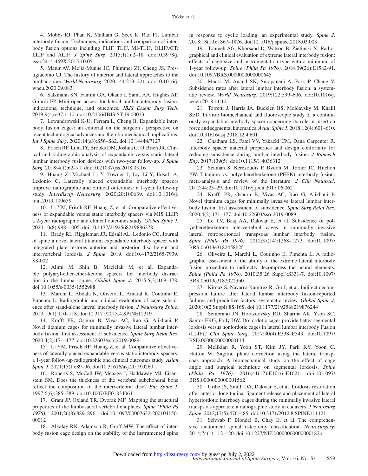<span id="page-7-0"></span>4. Mobbs RJ, Phan K, Malham G, Seex K, Rao PJ. Lumbar interbody fusion: Techniques, indications and comparison of interbody fusion options including PLIF, TLIF, MI-TLIF, OLIF/ATP, LLIF and ALIF. *J Spine Surg*. 2015;1(1):2–18. doi:10.3978/j. issn.2414-469X.2015.10.05

5. Matur AV, Mejia-Munne JC, Plummer ZJ, Cheng JS, Prestigiacomo CJ. The history of anterior and lateral approaches to the lumbar spine. *World Neurosurg*. 2020;144:213–221. doi:10.1016/j. wneu.2020.09.083

6. Salzmann SN, Fantini GA, Okano I, Sama AA, Hughes AP, Girardi FP. Mini-open access for lateral lumbar interbody fusion: indications, technique, and outcomes. *JBJS Essent Surg Tech*. 2019;9(4):e37.1-10. doi:10.2106/JBJS.ST.19.00013

<span id="page-7-1"></span>7. Lewandrowski K-U, Ferrara L, Cheng B. Expandable interbody fusion cages: an editorial on the surgeon's perspective on recent technological advances and their biomechanical implications. *Int J Spine Surg*. 2020;14(s3):S56–S62. doi:10.14444/7127

<span id="page-7-3"></span>8. Frisch RF, Luna IY, Brooks DM, Joshua G, O'Brien JR. Clinical and radiographic analysis of expandable versus static lateral lumbar interbody fusion devices with two-year follow-up. *J Spine Surg*. 2018;4(1):62–71. doi:10.21037/jss.2018.03.16

<span id="page-7-11"></span>9. Huang Z, Michael Li Y, Towner J, Icy Li Y, Edsall A, Ledonio C. Laterally placed expandable interbody spacers improve radiographic and clinical outcomes: a 1-year follow-up study. *Interdiscip Neurosurg*. 2020;20:100639. doi:10.1016/j. inat.2019.100639

<span id="page-7-12"></span>10. Li YM, Frisch RF, Huang Z, et al. Comparative effectiveness of expandable versus static interbody spacers via MIS LLIF: a 2-year radiographic and clinical outcomes study. *Global Spine J*. 2020;10(8):998–1005. doi:10.1177/2192568219886278

<span id="page-7-13"></span>11. Brady RL, Riggleman JR, Edsall AL, Ledonio CG. Journal of spine a novel lateral titanium expandable interbody spacer with integrated plate restores anterior and posterior disc height and intervertebral lordosis. *J Spine*. 2019. doi:10.4172/2165-7939. S8-002

<span id="page-7-14"></span>12. Alimi M, Shin B, Macielak M, et al. Expandable polyaryl-ether-ether-ketone spacers for interbody distraction in the lumbar spine. *Global Spine J*. 2015;5(3):169–178. doi:10.1055/s-0035-1552988

<span id="page-7-2"></span>13. Marchi L, Abdala N, Oliveira L, Amaral R, Coutinho E, Pimenta L. Radiographic and clinical evaluation of cage subsidence after stand-alone lateral interbody fusion. *J Neurosurg Spine*. 2013;19(1):110–118. doi:10.3171/2013.4.SPINE12319

<span id="page-7-4"></span>14. Krafft PR, Osburn B, Vivas AC, Rao G, Alikhani P. Novel titanium cages for minimally invasive lateral lumbar interbody fusion: first assessment of subsidence. *Spine Surg Relat Res*. 2020;4(2):171–177. doi:10.22603/ssrr.2019-0089

<span id="page-7-5"></span>15. Li YM, Frisch RF, Huang Z, et al. Comparative effectiveness of laterally placed expandable versus static interbody spacers: a 1-year follow-up radiographic and clinical outcomes study. *Asian Spine J*. 2021;15(1):89–96. doi:10.31616/asj.2019.0260

<span id="page-7-6"></span>16. Roberts S, McCall IW, Menage J, Haddaway MJ, Eisenstein SM. Does the thickness of the vertebral subchondral bone reflect the composition of the intervertebral disc? *Eur Spine J*. 1997;6(6):385–389. doi:10.1007/BF01834064

17. Grant JP, Oxland TR, Dvorak MF. Mapping the structural properties of the lumbosacral vertebral endplates. *Spine (Phila Pa 1976)*. 2001;26(8):889–896. doi:10.1097/00007632-200104150- 00012

<span id="page-7-7"></span>18. Alkalay RN, Adamson R, Groff MW. The effect of interbody fusion cage design on the stability of the instrumented spine in response to cyclic loading: an experimental study. *Spine J*. 2018;18(10):1867–1876. doi:10.1016/j.spinee.2018.03.003

<span id="page-7-8"></span>19. Tohmeh AG, Khorsand D, Watson B, Zielinski X. Radiographical and clinical evaluation of extreme lateral interbody fusion: effects of cage size and instrumentation type with a minimum of 1-year follow-up. *Spine (Phila Pa 1976)*. 2014;39(26):E1582-91. doi:10.1097/BRS.0000000000000645

<span id="page-7-9"></span>20. Macki M, Anand SK, Surapaneni A, Park P, Chang V. Subsidence rates after lateral lumbar interbody fusion: a systematic review. *World Neurosurg*. 2019;122:599–606. doi:10.1016/j. wneu.2018.11.121

<span id="page-7-10"></span>21. Torretti J, Harris JA, Bucklen BS, Moldavsky M, Khalil SED. In vitro biomechanical and fluoroscopic study of a continuously expandable interbody spacer concerning its role in insertion force and segmental kinematics. *Asian Spine J*. 2018;12(4):601–610. doi:10.31616/asj.2018.12.4.601

<span id="page-7-15"></span>22. Chatham LS, Patel VV, Yakacki CM, Dana Carpenter R. Interbody spacer material properties and design conformity for reducing subsidence during lumbar interbody fusion. *J Biomech Eng*. 2017;139(5). doi:10.1115/1.4036312

<span id="page-7-16"></span>23. Seaman S, Kerezoudis P, Bydon M, Torner JC, Hitchon PW. Titanium vs. polyetheretherketone (PEEK) interbody fusion: meta-analysis and review of the literature. *J Clin Neurosci*. 2017;44:23–29. doi:10.1016/j.jocn.2017.06.062

<span id="page-7-17"></span>24. Krafft PR, Osburn B, Vivas AC, Rao G, Alikhani P. Novel titanium cages for minimally invasive lateral lumbar interbody fusion: first assessment of subsidence. *Spine Surg Relat Res*. 2020;4(2):171–177. doi:10.22603/ssrr.2019-0089

<span id="page-7-18"></span>25. Le TV, Baaj AA, Dakwar E, et al. Subsidence of polyetheretherketone intervertebral cages in minimally invasive lateral retroperitoneal transpsoas lumbar interbody fusion. *Spine (Phila Pa 1976)*. 2012;37(14):1268–1273. doi:10.1097/ BRS.0b013e3182458b2f

<span id="page-7-19"></span>26. Oliveira L, Marchi L, Coutinho E, Pimenta L. A radiographic assessment of the ability of the extreme lateral interbody fusion procedure to indirectly decompress the neural elements. *Spine (Phila Pa 1976)*. 2010;35(26 Suppl):S331-7. doi:10.1097/ BRS.0b013e3182022db0

<span id="page-7-20"></span>27. Kirnaz S, Navarro-Ramirez R, Gu J, et al. Indirect decompression failure after lateral lumbar interbody fusion-reported failures and predictive factors: systematic review. *Global Spine J*. 2020;10(2 Suppl):8S-16S. doi:10.1177/2192568219876244

<span id="page-7-21"></span>28. Sembrano JN, Horazdovsky RD, Sharma AK, Yson SC, Santos ERG, Polly DW. Do lordotic cages provide better segmental lordosis versus nonlordotic cages in lateral lumbar interbody Fusion (LLIF)? *Clin Spine Surg*. 2017;30(4):E338–E343. doi:10.1097/ BSD.0000000000000114

<span id="page-7-22"></span>29. Melikian R, Yoon ST, Kim JY, Park KY, Yoon C, Hutton W. Sagittal plane correction using the lateral transpsoas approach: A biomechanical study on the effect of cage angle and surgical technique on segmental lordosis. *Spine (Phila Pa 1976)*. 2016;41(17):E1016–E1021. doi:10.1097/ BRS.0000000000001562

<span id="page-7-23"></span>30. Uribe JS, Smith DA, Dakwar E, et al. Lordosis restoration after anterior longitudinal ligament release and placement of lateral hyperlordotic interbody cages during the minimally invasive lateral transpsoas approach: a radiographic study in cadavers. *J Neurosurg Spine*. 2012;17(5):476–485. doi:10.3171/2012.8.SPINE111121

<span id="page-7-24"></span>31. Schwab F, Blondel B, Chay E, et al. The comprehensive anatomical spinal osteotomy classification. *Neurosurgery*. 2014;74(1):112–120. doi:10.1227/NEU.0000000000000182o